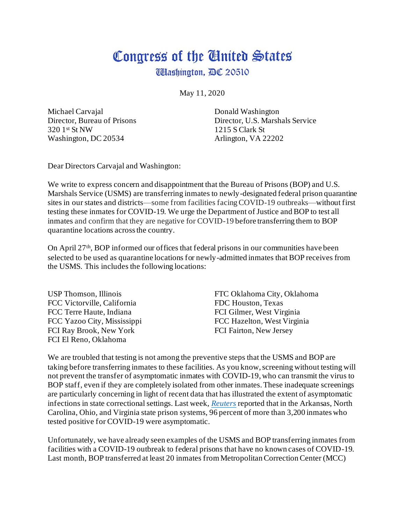## Congress of the Ginited States

**Udashington, DC 20510** 

May 11, 2020

Michael Carvajal Director, Bureau of Prisons 320 1st St NW Washington, DC 20534

Donald Washington Director, U.S. Marshals Service 1215 S Clark St Arlington, VA 22202

Dear Directors Carvajal and Washington:

We write to express concern and disappointment that the Bureau of Prisons (BOP) and U.S. Marshals Service (USMS) are transferring inmates to newly-designated federal prison quarantine sites in our states and districts—some from facilities facing COVID-19 outbreaks—without first testing these inmates for COVID-19. We urge the Department of Justice and BOP to test all inmates and confirm that they are negative for COVID-19 before transferring them to BOP quarantine locations across the country.

On April 27<sup>th</sup>, BOP informed our offices that federal prisons in our communities have been selected to be used as quarantine locations for newly-admitted inmates that BOP receives from the USMS. This includes the following locations:

USP Thomson, Illinois FCC Victorville, California FCC Terre Haute, Indiana FCC Yazoo City, Mississippi FCI Ray Brook, New York FCI El Reno, Oklahoma

FTC Oklahoma City, Oklahoma FDC Houston, Texas FCI Gilmer, West Virginia FCC Hazelton, West Virginia FCI Fairton, New Jersey

We are troubled that testing is not among the preventive steps that the USMS and BOP are taking before transferring inmates to these facilities. As you know, screening without testing will not prevent the transfer of asymptomatic inmates with COVID-19, who can transmit the virus to BOP staff, even if they are completely isolated from other inmates. These inadequate screenings are particularly concerning in light of recent data that has illustrated the extent of asymptomatic infections in state correctional settings. Last week, *[Reuters](https://www.reuters.com/article/us-health-coronavirus-prisons-testing-in/in-four-u-s-state-prisons-nearly-3300-inmates-test-positive-for-coronavirus-96-without-symptoms-idUSKCN2270RX)* reported that in the Arkansas, North Carolina, Ohio, and Virginia state prison systems, 96 percent of more than 3,200 inmates who tested positive for COVID-19 were asymptomatic.

Unfortunately, we have already seen examples of the USMS and BOP transferring inmates from facilities with a COVID-19 outbreak to federal prisons that have no known cases of COVID-19. Last month, BOP transferred at least 20 inmates from Metropolitan Correction Center (MCC)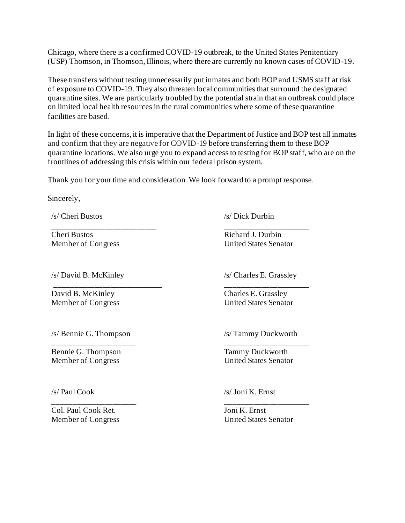Chicago, where there is a confirmed COVID-19 outbreak, to the United States Penitentiary (USP) Thomson, in Thomson, Illinois, where there are currently no known cases of COVID-19.

These transfers without testing unnecessarily put inmates and both BOP and USMS staff at risk of exposure to COVID-19. They also threaten local communities that surround the designated quarantine sites. We are particularly troubled by the potential strain that an outbreak could place on limited local health resources in the rural communities where some of these quarantine facilities are based.

In light of these concerns, it is imperative that the Department of Justice and BOP test all inmates and confirm that they are negative for COVID-19 before transferring them to these BOP quarantine locations. We also urge you to expand access to testing for BOP staff, who are on the frontlines of addressing this crisis within our federal prison system.

Thank you for your time and consideration. We look forward to a prompt response.

Sincerely,

/s/ Cheri Bustos

\_\_\_\_\_\_\_\_\_\_\_\_\_\_\_\_\_\_\_\_\_\_\_\_\_\_ Cheri Bustos Member of Congress

/s/ David B. McKinley

\_\_\_\_\_\_\_\_\_\_\_\_\_\_\_\_\_\_\_\_\_\_\_\_\_\_\_

David B. McKinley Member of Congress /s/ Dick Durbin

\_\_\_\_\_\_\_\_\_\_\_\_\_\_\_\_\_\_\_\_\_ Richard J. Durbin United States Senator

/s/ Charles E. Grassley

\_\_\_\_\_\_\_\_\_\_\_\_\_\_\_\_\_\_\_\_\_ Charles E. Grassley United States Senator

/s/ Bennie G. Thompson

\_\_\_\_\_\_\_\_\_\_\_\_\_\_\_\_\_\_\_\_\_ Bennie G. Thompson Member of Congress

/s/ Paul Cook

\_\_\_\_\_\_\_\_\_\_\_\_\_\_\_\_\_\_\_\_\_ Col. Paul Cook Ret. Member of Congress

/s/ Tammy Duckworth

\_\_\_\_\_\_\_\_\_\_\_\_\_\_\_\_\_\_\_\_\_ Tammy Duckworth United States Senator

/s/ Joni K. Ernst

Joni K. Ernst United States Senator

\_\_\_\_\_\_\_\_\_\_\_\_\_\_\_\_\_\_\_\_\_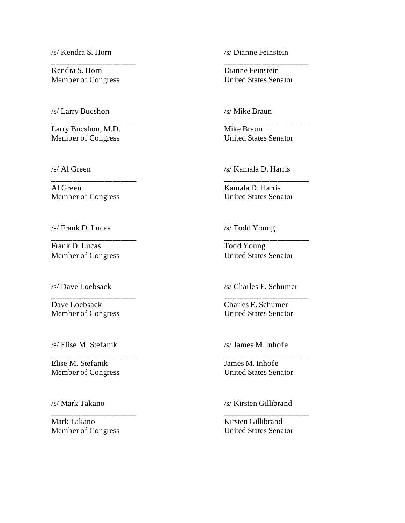/s/ Kendra S. Horn

Kendra S. Horn Member of Congress

\_\_\_\_\_\_\_\_\_\_\_\_\_\_\_\_\_\_\_\_\_

/s/ Larry Bucshon

Larry Bucshon, M.D. Member of Congress

\_\_\_\_\_\_\_\_\_\_\_\_\_\_\_\_\_\_\_\_\_

\_\_\_\_\_\_\_\_\_\_\_\_\_\_\_\_\_\_\_\_\_

\_\_\_\_\_\_\_\_\_\_\_\_\_\_\_\_\_\_\_\_\_

/s/ Al Green

Al Green Member of Congress

/s/ Frank D. Lucas

Frank D. Lucas Member of Congress

/s/ Dave Loebsack

Dave Loebsack Member of Congress

\_\_\_\_\_\_\_\_\_\_\_\_\_\_\_\_\_\_\_\_\_

\_\_\_\_\_\_\_\_\_\_\_\_\_\_\_\_\_\_\_\_\_

\_\_\_\_\_\_\_\_\_\_\_\_\_\_\_\_\_\_\_\_\_

/s/ Elise M. Stefanik

Elise M. Stefanik Member of Congress

/s/ Mark Takano

Mark Takano Member of Congress /s/ Dianne Feinstein

Dianne Feinstein United States Senator

\_\_\_\_\_\_\_\_\_\_\_\_\_\_\_\_\_\_\_\_\_

/s/ Mike Braun

Mike Braun United States Senator

\_\_\_\_\_\_\_\_\_\_\_\_\_\_\_\_\_\_\_\_\_

/s/ Kamala D. Harris

Kamala D. Harris United States Senator

\_\_\_\_\_\_\_\_\_\_\_\_\_\_\_\_\_\_\_\_\_

\_\_\_\_\_\_\_\_\_\_\_\_\_\_\_\_\_\_\_\_\_

/s/ Todd Young

Todd Young United States Senator

/s/ Charles E. Schumer

\_\_\_\_\_\_\_\_\_\_\_\_\_\_\_\_\_\_\_\_\_

Charles E. Schumer United States Senator

/s/ James M. Inhofe

James M. Inhofe United States Senator

\_\_\_\_\_\_\_\_\_\_\_\_\_\_\_\_\_\_\_\_\_

/s/ Kirsten Gillibrand

\_\_\_\_\_\_\_\_\_\_\_\_\_\_\_\_\_\_\_\_\_

Kirsten Gillibrand United States Senator